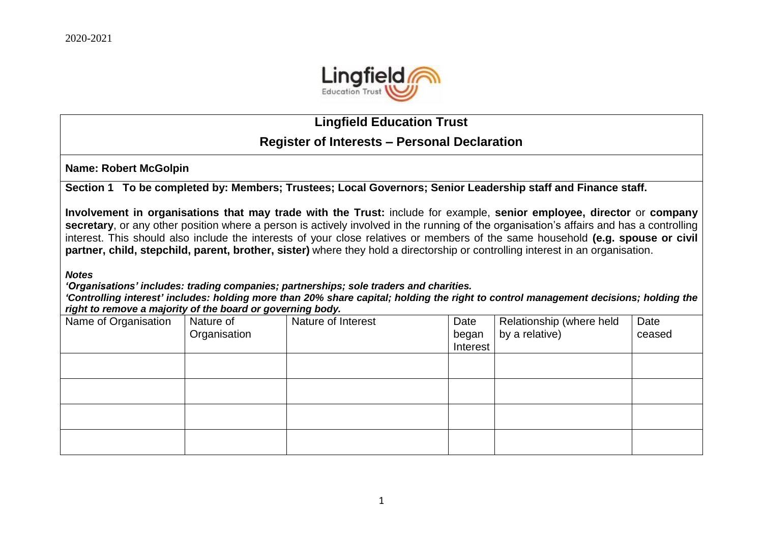

## **Lingfield Education Trust**

## **Register of Interests – Personal Declaration**

**Name: Robert McGolpin**

**Section 1 To be completed by: Members; Trustees; Local Governors; Senior Leadership staff and Finance staff.**

**Involvement in organisations that may trade with the Trust:** include for example, **senior employee, director** or **company secretary**, or any other position where a person is actively involved in the running of the organisation's affairs and has a controlling interest. This should also include the interests of your close relatives or members of the same household **(e.g. spouse or civil partner, child, stepchild, parent, brother, sister)** where they hold a directorship or controlling interest in an organisation.

*Notes*

*'Organisations' includes: trading companies; partnerships; sole traders and charities.*

*'Controlling interest' includes: holding more than 20% share capital; holding the right to control management decisions; holding the right to remove a majority of the board or governing body.*

| Name of Organisation | Nature of<br>Organisation | Nature of Interest | Date<br>began<br>Interest | Relationship (where held<br>by a relative) | Date<br>ceased |
|----------------------|---------------------------|--------------------|---------------------------|--------------------------------------------|----------------|
|                      |                           |                    |                           |                                            |                |
|                      |                           |                    |                           |                                            |                |
|                      |                           |                    |                           |                                            |                |
|                      |                           |                    |                           |                                            |                |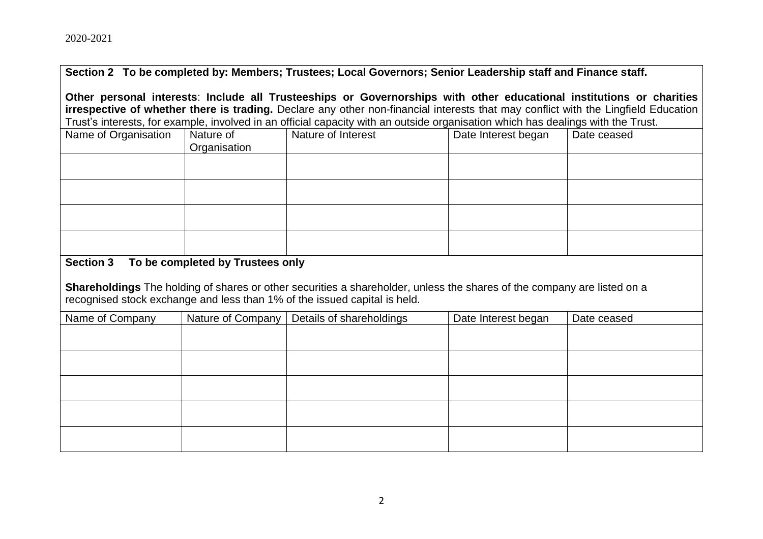**Section 2 To be completed by: Members; Trustees; Local Governors; Senior Leadership staff and Finance staff.**

**Other personal interests**: **Include all Trusteeships or Governorships with other educational institutions or charities irrespective of whether there is trading.** Declare any other non-financial interests that may conflict with the Lingfield Education Trust's interests, for example, involved in an official capacity with an outside organisation which has dealings with the Trust.

| These intersects, for overriple, inverved in an emotion expanse, with an extende erganisation which has downlige with the Tract. |                           |                    |                     |             |
|----------------------------------------------------------------------------------------------------------------------------------|---------------------------|--------------------|---------------------|-------------|
| Name of Organisation                                                                                                             | Nature of<br>Organisation | Nature of Interest | Date Interest began | Date ceased |
|                                                                                                                                  |                           |                    |                     |             |
|                                                                                                                                  |                           |                    |                     |             |
|                                                                                                                                  |                           |                    |                     |             |
|                                                                                                                                  |                           |                    |                     |             |

## **Section 3 To be completed by Trustees only**

**Shareholdings** The holding of shares or other securities a shareholder, unless the shares of the company are listed on a recognised stock exchange and less than 1% of the issued capital is held.

| Name of Company | Nature of Company | Details of shareholdings | Date Interest began | Date ceased |
|-----------------|-------------------|--------------------------|---------------------|-------------|
|                 |                   |                          |                     |             |
|                 |                   |                          |                     |             |
|                 |                   |                          |                     |             |
|                 |                   |                          |                     |             |
|                 |                   |                          |                     |             |
|                 |                   |                          |                     |             |
|                 |                   |                          |                     |             |
|                 |                   |                          |                     |             |
|                 |                   |                          |                     |             |
|                 |                   |                          |                     |             |